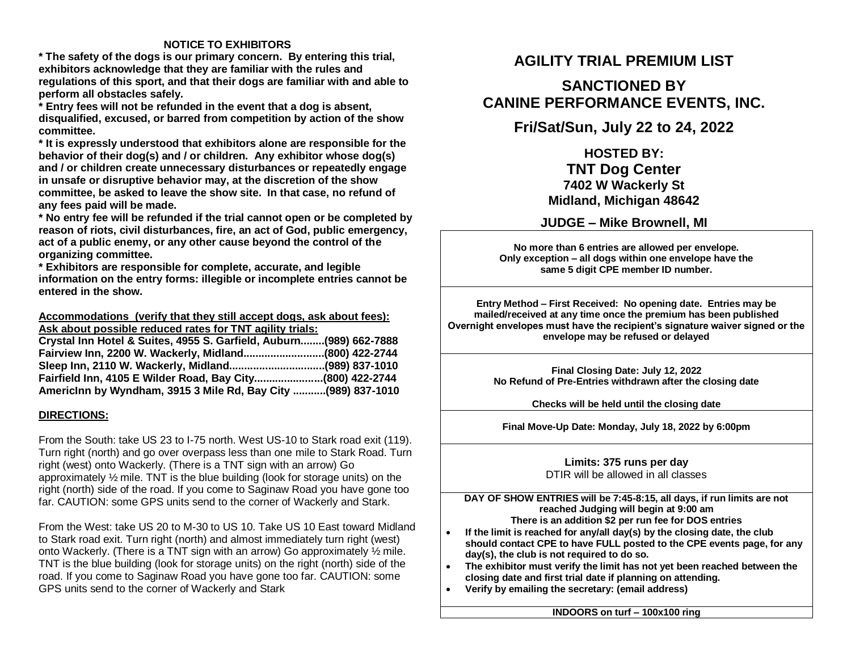### **NOTICE TO EXHIBITORS**

**\* The safety of the dogs is our primary concern. By entering this trial, exhibitors acknowledge that they are familiar with the rules and regulations of this sport, and that their dogs are familiar with and able to perform all obstacles safely.**

**\* Entry fees will not be refunded in the event that a dog is absent, disqualified, excused, or barred from competition by action of the show committee.** 

**\* It is expressly understood that exhibitors alone are responsible for the behavior of their dog(s) and / or children. Any exhibitor whose dog(s) and / or children create unnecessary disturbances or repeatedly engage in unsafe or disruptive behavior may, at the discretion of the show committee, be asked to leave the show site. In that case, no refund of any fees paid will be made.**

**\* No entry fee will be refunded if the trial cannot open or be completed by reason of riots, civil disturbances, fire, an act of God, public emergency, act of a public enemy, or any other cause beyond the control of the organizing committee.**

**\* Exhibitors are responsible for complete, accurate, and legible information on the entry forms: illegible or incomplete entries cannot be entered in the show.**

#### **Accommodations (verify that they still accept dogs, ask about fees): Ask about possible reduced rates for TNT agility trials:**

| Crystal Inn Hotel & Suites, 4955 S. Garfield, Auburn(989) 662-7888 |  |
|--------------------------------------------------------------------|--|
| Fairview Inn, 2200 W. Wackerly, Midland(800) 422-2744              |  |
|                                                                    |  |
| Fairfield Inn, 4105 E Wilder Road, Bay City(800) 422-2744          |  |
| AmericInn by Wyndham, 3915 3 Mile Rd, Bay City (989) 837-1010      |  |

#### **DIRECTIONS:**

From the South: take US 23 to I-75 north. West US-10 to Stark road exit (119). Turn right (north) and go over overpass less than one mile to Stark Road. Turn right (west) onto Wackerly. (There is a TNT sign with an arrow) Go approximately ½ mile. TNT is the blue building (look for storage units) on the right (north) side of the road. If you come to Saginaw Road you have gone too far. CAUTION: some GPS units send to the corner of Wackerly and Stark.

From the West: take US 20 to M-30 to US 10. Take US 10 East toward Midland to Stark road exit. Turn right (north) and almost immediately turn right (west) onto Wackerly. (There is a TNT sign with an arrow) Go approximately ½ mile. TNT is the blue building (look for storage units) on the right (north) side of the road. If you come to Saginaw Road you have gone too far. CAUTION: some GPS units send to the corner of Wackerly and Stark

# **AGILITY TRIAL PREMIUM LIST**

# **SANCTIONED BY CANINE PERFORMANCE EVENTS, INC.**

# **Fri/Sat/Sun, July 22 to 24, 2022**

## **HOSTED BY: TNT Dog Center 7402 W Wackerly St Midland, Michigan 48642**

## **JUDGE – Mike Brownell, MI**

**No more than 6 entries are allowed per envelope. Only exception – all dogs within one envelope have the same 5 digit CPE member ID number.**

**Entry Method – First Received: No opening date. Entries may be mailed/received at any time once the premium has been published Overnight envelopes must have the recipient's signature waiver signed or the envelope may be refused or delayed**

> **Final Closing Date: July 12, 2022 No Refund of Pre-Entries withdrawn after the closing date**

> > **Checks will be held until the closing date**

**Final Move-Up Date: Monday, July 18, 2022 by 6:00pm**

#### **Limits: 375 runs per day** DTIR will be allowed in all classes

**DAY OF SHOW ENTRIES will be 7:45-8:15, all days, if run limits are not reached Judging will begin at 9:00 am There is an addition \$2 per run fee for DOS entries**

- **If the limit is reached for any/all day(s) by the closing date, the club should contact CPE to have FULL posted to the CPE events page, for any day(s), the club is not required to do so.**
- **The exhibitor must verify the limit has not yet been reached between the closing date and first trial date if planning on attending.**
- **Verify by emailing the secretary: (email address)**

**INDOORS on turf – 100x100 ring**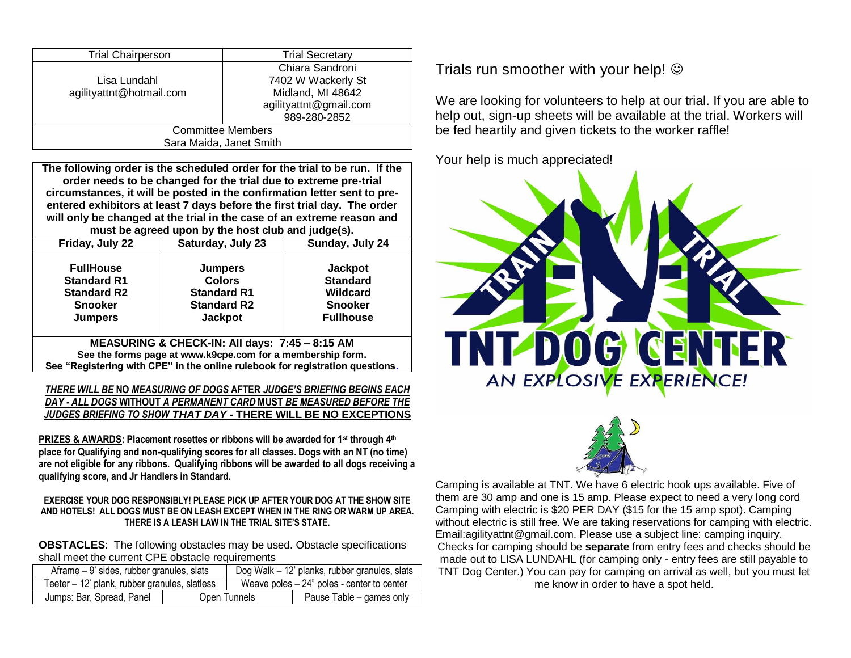| <b>Trial Chairperson</b> | <b>Trial Secretary</b> |
|--------------------------|------------------------|
|                          | Chiara Sandroni        |
| Lisa Lundahl             | 7402 W Wackerly St     |
| agilityattnt@hotmail.com | Midland, MI 48642      |
|                          | agilityattnt@gmail.com |
|                          | 989-280-2852           |
| <b>Committee Members</b> |                        |
| Sara Maida, Janet Smith  |                        |

**The following order is the scheduled order for the trial to be run. If the order needs to be changed for the trial due to extreme pre-trial circumstances, it will be posted in the confirmation letter sent to preentered exhibitors at least 7 days before the first trial day. The order will only be changed at the trial in the case of an extreme reason and must be agreed upon by the host club and judge(s).**

| Friday, July 22                                                                                                                                                                               | Saturday, July 23<br>Sunday, July 24                                                          |                                                                                     |  |
|-----------------------------------------------------------------------------------------------------------------------------------------------------------------------------------------------|-----------------------------------------------------------------------------------------------|-------------------------------------------------------------------------------------|--|
| <b>FullHouse</b><br><b>Standard R1</b><br><b>Standard R2</b><br><b>Snooker</b><br><b>Jumpers</b>                                                                                              | <b>Jumpers</b><br><b>Colors</b><br><b>Standard R1</b><br><b>Standard R2</b><br><b>Jackpot</b> | <b>Jackpot</b><br><b>Standard</b><br>Wildcard<br><b>Snooker</b><br><b>Fullhouse</b> |  |
| MEASURING & CHECK-IN: All days: 7:45 - 8:15 AM<br>See the forms page at www.k9cpe.com for a membership form.<br>See "Registering with CPE" in the online rulebook for registration questions. |                                                                                               |                                                                                     |  |

*THERE WILL BE* **NO** *MEASURING OF DOGS* **AFTER** *JUDGE'S BRIEFING BEGINS EACH DAY - ALL DOGS* **WITHOUT** *A PERMANENT CARD* **MUST** *BE MEASURED BEFORE THE JUDGES BRIEFING TO SHOW THAT DAY -* **THERE WILL BE NO EXCEPTIONS**

**PRIZES & AWARDS: Placement rosettes or ribbons will be awarded for 1st through 4th place for Qualifying and non-qualifying scores for all classes. Dogs with an NT (no time) are not eligible for any ribbons. Qualifying ribbons will be awarded to all dogs receiving a qualifying score, and Jr Handlers in Standard.**

#### **EXERCISE YOUR DOG RESPONSIBLY! PLEASE PICK UP AFTER YOUR DOG AT THE SHOW SITE AND HOTELS! ALL DOGS MUST BE ON LEASH EXCEPT WHEN IN THE RING OR WARM UP AREA. THERE IS A LEASH LAW IN THE TRIAL SITE'S STATE.**

**OBSTACLES**: The following obstacles may be used. Obstacle specifications shall meet the current CPE obstacle requirements

|                                               | Aframe – 9' sides, rubber granules, slats |  | Dog Walk – 12' planks, rubber granules, slats |
|-----------------------------------------------|-------------------------------------------|--|-----------------------------------------------|
| Teeter – 12' plank, rubber granules, slatless |                                           |  | Weave poles – 24" poles - center to center    |
| Jumps: Bar, Spread, Panel                     | Open Tunnels                              |  | Pause Table – games only                      |

Trials run smoother with your help!  $\odot$ 

We are looking for volunteers to help at our trial. If you are able to help out, sign-up sheets will be available at the trial. Workers will be fed heartily and given tickets to the worker raffle!

Your help is much appreciated!





Camping is available at TNT. We have 6 electric hook ups available. Five of them are 30 amp and one is 15 amp. Please expect to need a very long cord Camping with electric is \$20 PER DAY (\$15 for the 15 amp spot). Camping without electric is still free. We are taking reservations for camping with electric. Email:agilityattnt@gmail.com. Please use a subject line: camping inquiry. Checks for camping should be **separate** from entry fees and checks should be made out to LISA LUNDAHL (for camping only - entry fees are still payable to TNT Dog Center.) You can pay for camping on arrival as well, but you must let me know in order to have a spot held.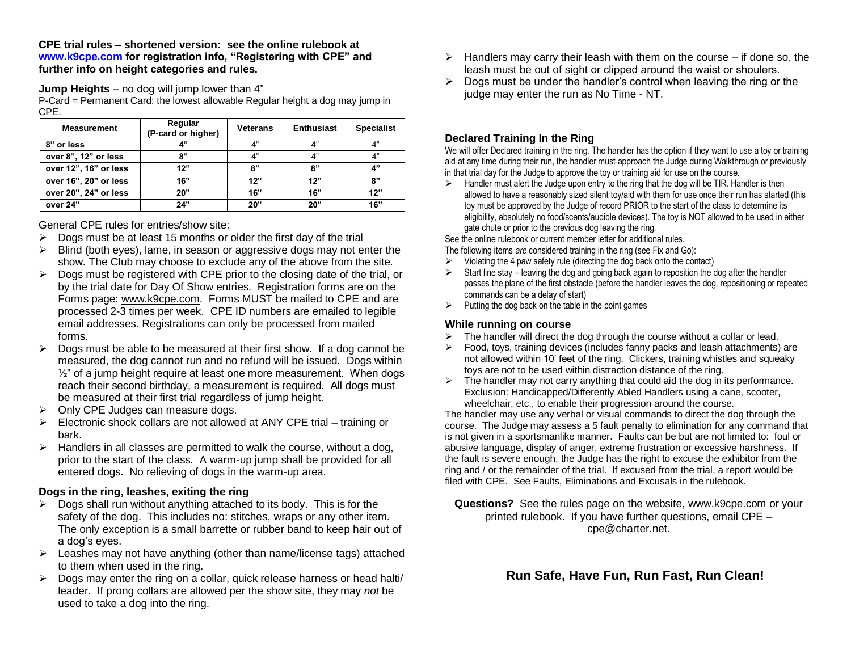**CPE trial rules – shortened version: see the online rulebook at [www.k9cpe.com](http://www.k9cpe.com/) for registration info, "Registering with CPE" and further info on height categories and rules.**

**Jump Heights** – no dog will jump lower than 4"

P-Card = Permanent Card: the lowest allowable Regular height a dog may jump in CPE.

| <b>Measurement</b>    | Regular<br>(P-card or higher) | <b>Veterans</b> | <b>Enthusiast</b> | <b>Specialist</b> |
|-----------------------|-------------------------------|-----------------|-------------------|-------------------|
| 8" or less            | 4"                            | 4"              | 4"                | 4"                |
| over 8", 12" or less  | 8"                            | 4"              | 4"                | 4"                |
| over 12", 16" or less | 12"                           | 8"              | 8"                | 4"                |
| over 16", 20" or less | 16"                           | 12"             | 12"               | 8"                |
| over 20", 24" or less | 20"                           | 16"             | 16"               | 12"               |
| over 24"              | 24"                           | 20"             | 20"               | 16"               |

General CPE rules for entries/show site:

- $\triangleright$  Dogs must be at least 15 months or older the first day of the trial
- $\triangleright$  Blind (both eyes), lame, in season or aggressive dogs may not enter the show. The Club may choose to exclude any of the above from the site.
- $\triangleright$  Dogs must be registered with CPE prior to the closing date of the trial, or by the trial date for Day Of Show entries. Registration forms are on the Forms page: [www.k9cpe.com.](http://www.k9cpe.com/) Forms MUST be mailed to CPE and are processed 2-3 times per week. CPE ID numbers are emailed to legible email addresses. Registrations can only be processed from mailed forms.
- $\triangleright$  Dogs must be able to be measured at their first show. If a dog cannot be measured, the dog cannot run and no refund will be issued. Dogs within  $\frac{1}{2}$ " of a jump height require at least one more measurement. When dogs reach their second birthday, a measurement is required. All dogs must be measured at their first trial regardless of jump height.
- $\triangleright$  Only CPE Judges can measure dogs.
- $\triangleright$  Electronic shock collars are not allowed at ANY CPE trial training or bark.
- $\triangleright$  Handlers in all classes are permitted to walk the course, without a dog, prior to the start of the class. A warm-up jump shall be provided for all entered dogs. No relieving of dogs in the warm-up area.

### **Dogs in the ring, leashes, exiting the ring**

- $\triangleright$  Dogs shall run without anything attached to its body. This is for the safety of the dog. This includes no: stitches, wraps or any other item. The only exception is a small barrette or rubber band to keep hair out of a dog's eyes.
- $\triangleright$  Leashes may not have anything (other than name/license tags) attached to them when used in the ring.
- $\triangleright$  Dogs may enter the ring on a collar, quick release harness or head halti/ leader. If prong collars are allowed per the show site, they may *not* be used to take a dog into the ring.
- $\triangleright$  Handlers may carry their leash with them on the course if done so, the leash must be out of sight or clipped around the waist or shoulers.
- $\triangleright$  Dogs must be under the handler's control when leaving the ring or the judge may enter the run as No Time - NT.

## **Declared Training In the Ring**

We will offer Declared training in the ring. The handler has the option if they want to use a toy or training aid at any time during their run, the handler must approach the Judge during Walkthrough or previously in that trial day for the Judge to approve the toy or training aid for use on the course.

 $\triangleright$  Handler must alert the Judge upon entry to the ring that the dog will be TIR. Handler is then allowed to have a reasonably sized silent toy/aid with them for use once their run has started (this toy must be approved by the Judge of record PRIOR to the start of the class to determine its eligibility, absolutely no food/scents/audible devices). The toy is NOT allowed to be used in either gate chute or prior to the previous dog leaving the ring.

See the online rulebook or current member letter for additional rules.

- The following items *are* considered training in the ring (see Fix and Go):
- Violating the 4 paw safety rule (directing the dog back onto the contact)
- $\triangleright$  Start line stay leaving the dog and going back again to reposition the dog after the handler passes the plane of the first obstacle (before the handler leaves the dog, repositioning or repeated commands can be a delay of start)
- $\triangleright$  Putting the dog back on the table in the point games

### **While running on course**

- $\triangleright$  The handler will direct the dog through the course without a collar or lead.
- $\triangleright$  Food, toys, training devices (includes fanny packs and leash attachments) are not allowed within 10' feet of the ring. Clickers, training whistles and squeaky toys are not to be used within distraction distance of the ring.
- $\triangleright$  The handler may not carry anything that could aid the dog in its performance. Exclusion: Handicapped/Differently Abled Handlers using a cane, scooter, wheelchair, etc., to enable their progression around the course.

The handler may use any verbal or visual commands to direct the dog through the course. The Judge may assess a 5 fault penalty to elimination for any command that is not given in a sportsmanlike manner. Faults can be but are not limited to: foul or abusive language, display of anger, extreme frustration or excessive harshness. If the fault is severe enough, the Judge has the right to excuse the exhibitor from the ring and / or the remainder of the trial. If excused from the trial, a report would be filed with CPE. See Faults, Eliminations and Excusals in the rulebook.

**Questions?** See the rules page on the website, [www.k9cpe.com](http://www.k9cpe.com/) or your printed rulebook. If you have further questions, email CPE – [cpe@charter.net.](mailto:cpe@charter.net)

 **Run Safe, Have Fun, Run Fast, Run Clean!**